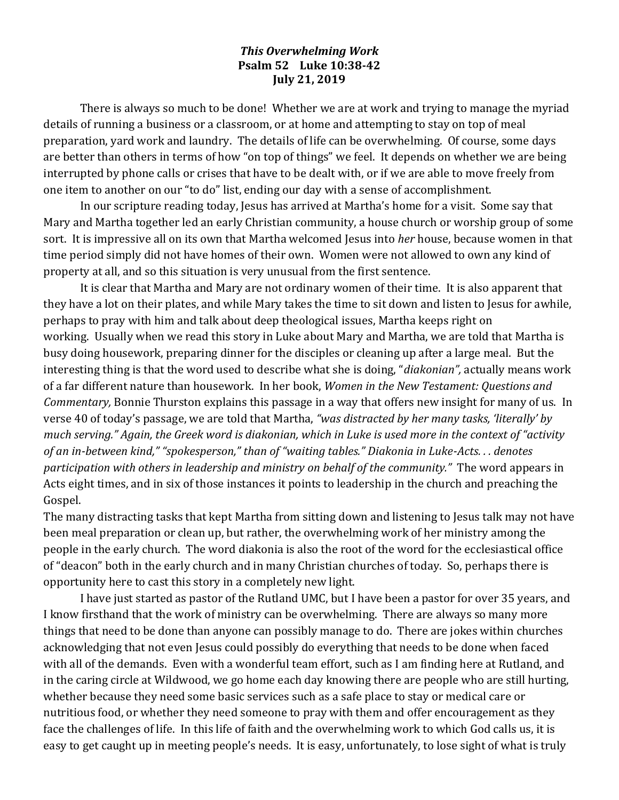## *This Overwhelming Work* **Psalm 52 Luke 10:38-42 July 21, 2019**

There is always so much to be done! Whether we are at work and trying to manage the myriad details of running a business or a classroom, or at home and attempting to stay on top of meal preparation, yard work and laundry. The details of life can be overwhelming. Of course, some days are better than others in terms of how "on top of things" we feel. It depends on whether we are being interrupted by phone calls or crises that have to be dealt with, or if we are able to move freely from one item to another on our "to do" list, ending our day with a sense of accomplishment.

In our scripture reading today, Jesus has arrived at Martha's home for a visit. Some say that Mary and Martha together led an early Christian community, a house church or worship group of some sort. It is impressive all on its own that Martha welcomed Jesus into *her* house, because women in that time period simply did not have homes of their own. Women were not allowed to own any kind of property at all, and so this situation is very unusual from the first sentence.

It is clear that Martha and Mary are not ordinary women of their time. It is also apparent that they have a lot on their plates, and while Mary takes the time to sit down and listen to Jesus for awhile, perhaps to pray with him and talk about deep theological issues, Martha keeps right on working. Usually when we read this story in Luke about Mary and Martha, we are told that Martha is busy doing housework, preparing dinner for the disciples or cleaning up after a large meal. But the interesting thing is that the word used to describe what she is doing, "*diakonian",* actually means work of a far different nature than housework. In her book, *Women in the New Testament: Questions and Commentary,* Bonnie Thurston explains this passage in a way that offers new insight for many of us. In verse 40 of today's passage, we are told that Martha, *"was distracted by her many tasks, 'literally' by much serving." Again, the Greek word is diakonian, which in Luke is used more in the context of "activity of an in-between kind," "spokesperson," than of "waiting tables." Diakonia in Luke-Acts. . . denotes participation with others in leadership and ministry on behalf of the community."* The word appears in Acts eight times, and in six of those instances it points to leadership in the church and preaching the Gospel.

The many distracting tasks that kept Martha from sitting down and listening to Jesus talk may not have been meal preparation or clean up, but rather, the overwhelming work of her ministry among the people in the early church. The word diakonia is also the root of the word for the ecclesiastical office of "deacon" both in the early church and in many Christian churches of today. So, perhaps there is opportunity here to cast this story in a completely new light.

I have just started as pastor of the Rutland UMC, but I have been a pastor for over 35 years, and I know firsthand that the work of ministry can be overwhelming. There are always so many more things that need to be done than anyone can possibly manage to do. There are jokes within churches acknowledging that not even Jesus could possibly do everything that needs to be done when faced with all of the demands. Even with a wonderful team effort, such as I am finding here at Rutland, and in the caring circle at Wildwood, we go home each day knowing there are people who are still hurting, whether because they need some basic services such as a safe place to stay or medical care or nutritious food, or whether they need someone to pray with them and offer encouragement as they face the challenges of life. In this life of faith and the overwhelming work to which God calls us, it is easy to get caught up in meeting people's needs. It is easy, unfortunately, to lose sight of what is truly